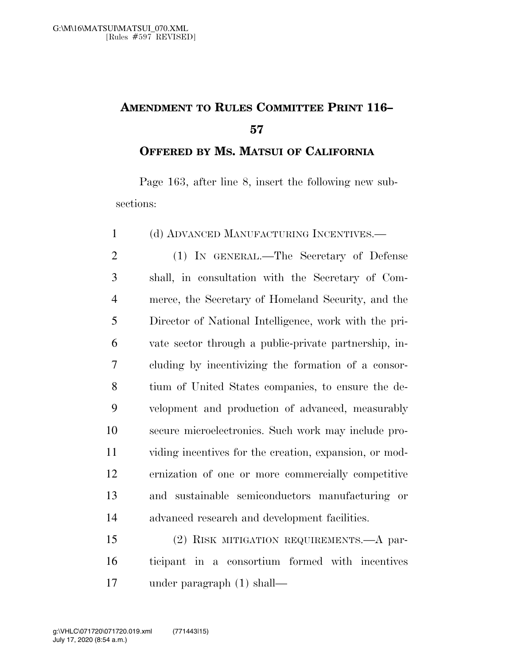## **AMENDMENT TO RULES COMMITTEE PRINT 116–**

**OFFERED BY MS. MATSUI OF CALIFORNIA**

Page 163, after line 8, insert the following new subsections:

(d) ADVANCED MANUFACTURING INCENTIVES.—

 (1) IN GENERAL.—The Secretary of Defense shall, in consultation with the Secretary of Com- merce, the Secretary of Homeland Security, and the Director of National Intelligence, work with the pri- vate sector through a public-private partnership, in- cluding by incentivizing the formation of a consor- tium of United States companies, to ensure the de- velopment and production of advanced, measurably secure microelectronics. Such work may include pro- viding incentives for the creation, expansion, or mod- ernization of one or more commercially competitive and sustainable semiconductors manufacturing or advanced research and development facilities.

 (2) RISK MITIGATION REQUIREMENTS.—A par- ticipant in a consortium formed with incentives under paragraph (1) shall—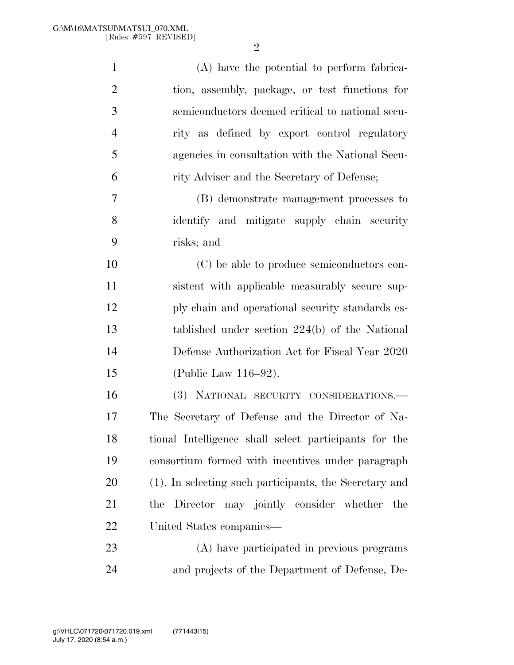| $\mathbf{1}$   | (A) have the potential to perform fabrica-             |
|----------------|--------------------------------------------------------|
| $\overline{2}$ | tion, assembly, package, or test functions for         |
| 3              | semiconductors deemed critical to national secu-       |
| $\overline{4}$ | rity as defined by export control regulatory           |
| 5              | agencies in consultation with the National Secu-       |
| 6              | rity Adviser and the Secretary of Defense;             |
| 7              | (B) demonstrate management processes to                |
| 8              | identify and mitigate supply chain security            |
| 9              | risks; and                                             |
| 10             | (C) be able to produce semiconductors con-             |
| 11             | sistent with applicable measurably secure sup-         |
| 12             | ply chain and operational security standards es-       |
| 13             | tablished under section $224(b)$ of the National       |
| 14             | Defense Authorization Act for Fiscal Year 2020         |
| 15             | (Public Law 116–92).                                   |
| 16             | (3) NATIONAL SECURITY CONSIDERATIONS.-                 |
| 17             | The Secretary of Defense and the Director of Na-       |
| 18             | tional Intelligence shall select participants for the  |
| 19             | consortium formed with incentives under paragraph      |
| 20             | (1). In selecting such participants, the Secretary and |
| 21             | the Director may jointly consider whether the          |
| 22             | United States companies—                               |
| 23             | (A) have participated in previous programs             |
| 24             | and projects of the Department of Defense, De-         |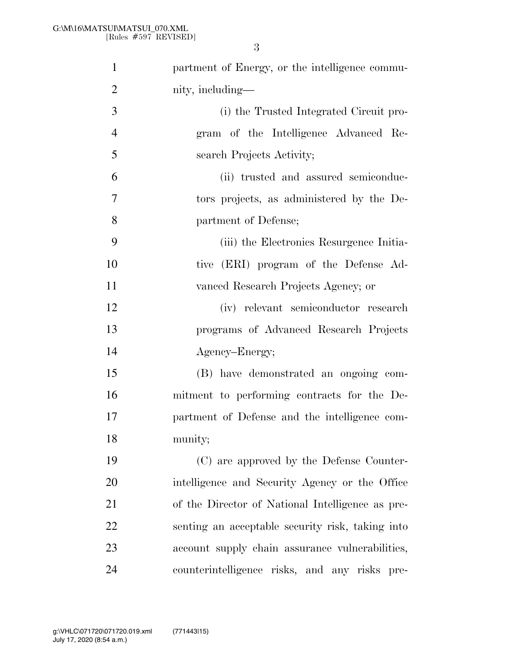| $\mathbf{1}$   | partment of Energy, or the intelligence commu-   |
|----------------|--------------------------------------------------|
| $\overline{2}$ | nity, including—                                 |
| 3              | (i) the Trusted Integrated Circuit pro-          |
| $\overline{4}$ | gram of the Intelligence Advanced Re-            |
| 5              | search Projects Activity;                        |
| 6              | (ii) trusted and assured semiconduc-             |
| $\overline{7}$ | tors projects, as administered by the De-        |
| 8              | partment of Defense;                             |
| 9              | (iii) the Electronics Resurgence Initia-         |
| 10             | tive (ERI) program of the Defense Ad-            |
| 11             | vanced Research Projects Agency; or              |
| 12             | (iv) relevant semiconductor research             |
| 13             | programs of Advanced Research Projects           |
| 14             | Agency-Energy;                                   |
| 15             | (B) have demonstrated an ongoing com-            |
| 16             | mitment to performing contracts for the De-      |
| 17             | partment of Defense and the intelligence com-    |
| 18             | munity;                                          |
| 19             | (C) are approved by the Defense Counter-         |
| 20             | intelligence and Security Agency or the Office   |
| 21             | of the Director of National Intelligence as pre- |
| 22             | senting an acceptable security risk, taking into |
| 23             | account supply chain assurance vulnerabilities,  |
| 24             | counterintelligence risks, and any risks pre-    |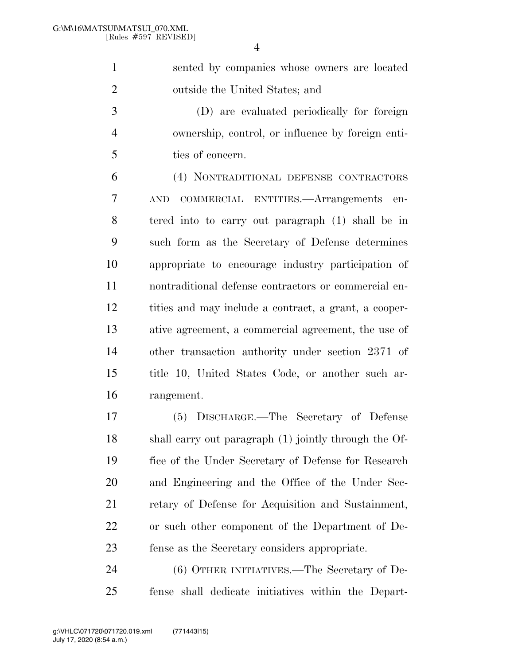sented by companies whose owners are located outside the United States; and

 (D) are evaluated periodically for foreign ownership, control, or influence by foreign enti-ties of concern.

 (4) NONTRADITIONAL DEFENSE CONTRACTORS AND COMMERCIAL ENTITIES.—Arrangements en- tered into to carry out paragraph (1) shall be in such form as the Secretary of Defense determines appropriate to encourage industry participation of nontraditional defense contractors or commercial en- tities and may include a contract, a grant, a cooper- ative agreement, a commercial agreement, the use of other transaction authority under section 2371 of title 10, United States Code, or another such ar-rangement.

 (5) DISCHARGE.—The Secretary of Defense shall carry out paragraph (1) jointly through the Of- fice of the Under Secretary of Defense for Research and Engineering and the Office of the Under Sec- retary of Defense for Acquisition and Sustainment, or such other component of the Department of De-fense as the Secretary considers appropriate.

 (6) OTHER INITIATIVES.—The Secretary of De-fense shall dedicate initiatives within the Depart-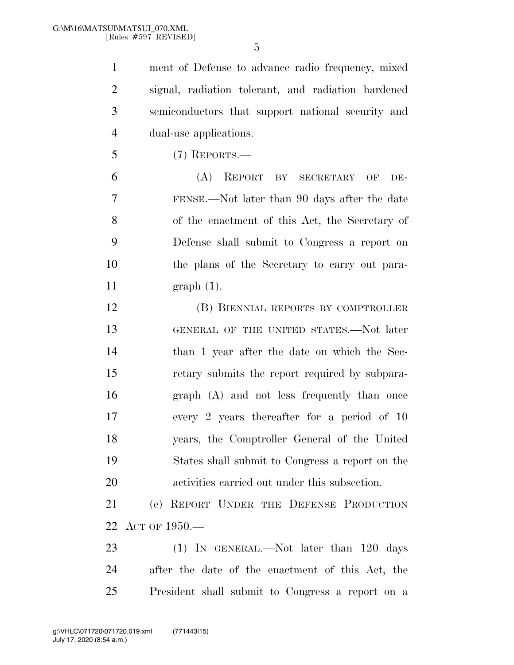ment of Defense to advance radio frequency, mixed signal, radiation tolerant, and radiation hardened semiconductors that support national security and dual-use applications.

(7) REPORTS.—

 (A) REPORT BY SECRETARY OF DE- FENSE.—Not later than 90 days after the date of the enactment of this Act, the Secretary of Defense shall submit to Congress a report on the plans of the Secretary to carry out para-graph (1).

 (B) BIENNIAL REPORTS BY COMPTROLLER GENERAL OF THE UNITED STATES.—Not later than 1 year after the date on which the Sec- retary submits the report required by subpara- graph (A) and not less frequently than once every 2 years thereafter for a period of 10 years, the Comptroller General of the United States shall submit to Congress a report on the activities carried out under this subsection.

 (e) REPORT UNDER THE DEFENSE PRODUCTION ACT OF 1950.—

23 (1) IN GENERAL.—Not later than 120 days after the date of the enactment of this Act, the President shall submit to Congress a report on a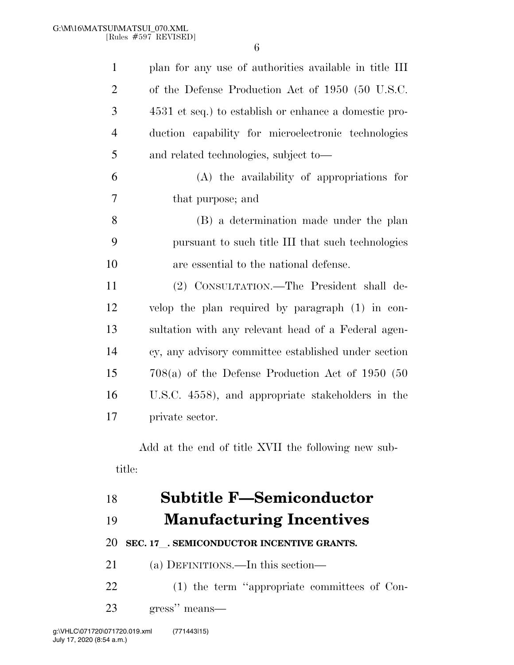| $\mathbf{1}$   | plan for any use of authorities available in title III |
|----------------|--------------------------------------------------------|
| $\overline{2}$ | of the Defense Production Act of 1950 (50 U.S.C.       |
| 3              | 4531 et seq.) to establish or enhance a domestic pro-  |
| $\overline{4}$ | duction capability for microelectronic technologies    |
| 5              | and related technologies, subject to—                  |
| 6              | (A) the availability of appropriations for             |
| 7              | that purpose; and                                      |
| 8              | (B) a determination made under the plan                |
| 9              | pursuant to such title III that such technologies      |
| 10             | are essential to the national defense.                 |
| 11             | (2) CONSULTATION.—The President shall de-              |
| 12             | velop the plan required by paragraph $(1)$ in con-     |
| 13             | sultation with any relevant head of a Federal agen-    |
| 14             | cy, any advisory committee established under section   |
| 15             | $708(a)$ of the Defense Production Act of 1950 (50     |
| 16             | U.S.C. 4558), and appropriate stakeholders in the      |
| 17             | private sector.                                        |

Add at the end of title XVII the following new subtitle:

## **Subtitle F—Semiconductor**

## **Manufacturing Incentives**

**SEC. 17**l**. SEMICONDUCTOR INCENTIVE GRANTS.** 

(a) DEFINITIONS.—In this section—

 (1) the term ''appropriate committees of Con-gress'' means—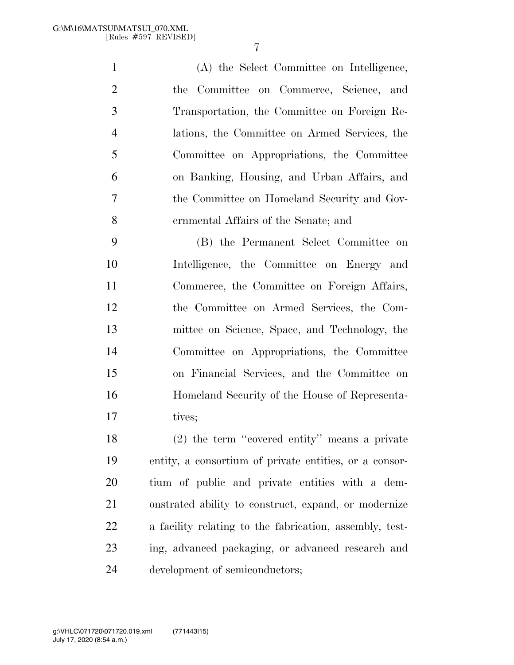(A) the Select Committee on Intelligence, the Committee on Commerce, Science, and Transportation, the Committee on Foreign Re- lations, the Committee on Armed Services, the Committee on Appropriations, the Committee on Banking, Housing, and Urban Affairs, and the Committee on Homeland Security and Gov-ernmental Affairs of the Senate; and

 (B) the Permanent Select Committee on Intelligence, the Committee on Energy and Commerce, the Committee on Foreign Affairs, the Committee on Armed Services, the Com- mittee on Science, Space, and Technology, the Committee on Appropriations, the Committee on Financial Services, and the Committee on Homeland Security of the House of Representa-17 tives;

 (2) the term ''covered entity'' means a private entity, a consortium of private entities, or a consor- tium of public and private entities with a dem- onstrated ability to construct, expand, or modernize a facility relating to the fabrication, assembly, test- ing, advanced packaging, or advanced research and development of semiconductors;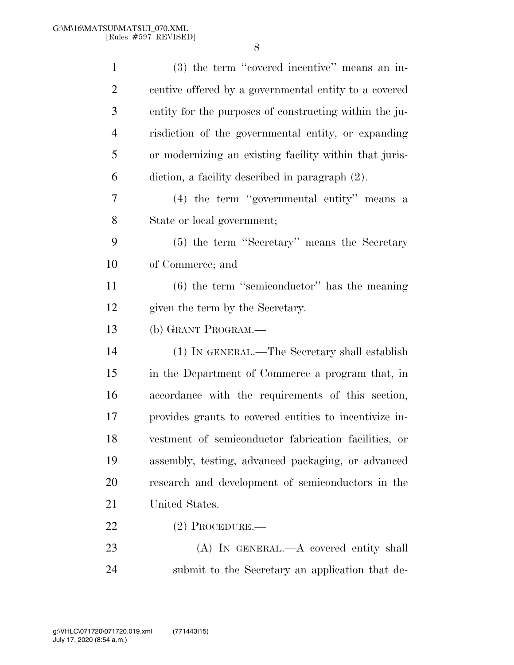| $\mathbf{1}$   | (3) the term "covered incentive" means an in-          |
|----------------|--------------------------------------------------------|
| $\overline{2}$ | centive offered by a governmental entity to a covered  |
| 3              | entity for the purposes of constructing within the ju- |
| $\overline{4}$ | risdiction of the governmental entity, or expanding    |
| 5              | or modernizing an existing facility within that juris- |
| 6              | diction, a facility described in paragraph (2).        |
| 7              | $(4)$ the term "governmental entity" means a           |
| 8              | State or local government;                             |
| 9              | (5) the term "Secretary" means the Secretary           |
| 10             | of Commerce; and                                       |
| 11             | $(6)$ the term "semiconductor" has the meaning         |
| 12             | given the term by the Secretary.                       |
| 13             | (b) GRANT PROGRAM.—                                    |
| 14             | (1) IN GENERAL.—The Secretary shall establish          |
| 15             | in the Department of Commerce a program that, in       |
| 16             | accordance with the requirements of this section,      |
| 17             | provides grants to covered entities to incentivize in- |
| 18             | vestment of semiconductor fabrication facilities, or   |
| 19             | assembly, testing, advanced packaging, or advanced     |
| 20             | research and development of semiconductors in the      |
| 21             | United States.                                         |
| 22             | $(2)$ Procedure.—                                      |
| 23             | (A) IN GENERAL.—A covered entity shall                 |
| 24             | submit to the Secretary an application that de-        |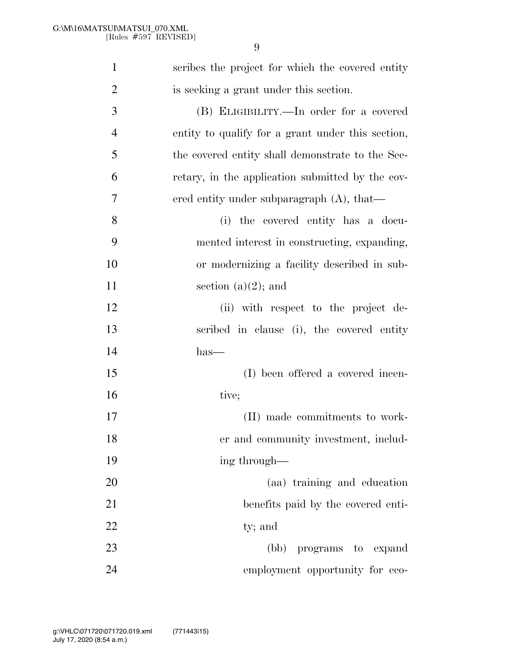| $\mathbf{1}$   | scribes the project for which the covered entity  |
|----------------|---------------------------------------------------|
| $\overline{2}$ | is seeking a grant under this section.            |
| 3              | (B) ELIGIBILITY.—In order for a covered           |
| $\overline{4}$ | entity to qualify for a grant under this section, |
| 5              | the covered entity shall demonstrate to the Sec-  |
| 6              | retary, in the application submitted by the cov-  |
| 7              | ered entity under subparagraph $(A)$ , that—      |
| 8              | (i) the covered entity has a docu-                |
| 9              | mented interest in constructing, expanding,       |
| 10             | or modernizing a facility described in sub-       |
| 11             | section $(a)(2)$ ; and                            |
| 12             | (ii) with respect to the project de-              |
| 13             | scribed in clause (i), the covered entity         |
| 14             | $has-$                                            |
| 15             | (I) been offered a covered incen-                 |
| 16             | tive;                                             |
| 17             | (II) made commitments to work-                    |
| 18             | er and community investment, includ-              |
| 19             | ing through—                                      |
| 20             | (aa) training and education                       |
| 21             | benefits paid by the covered enti-                |
| 22             | ty; and                                           |
| 23             | (bb) programs to expand                           |
| 24             | employment opportunity for eco-                   |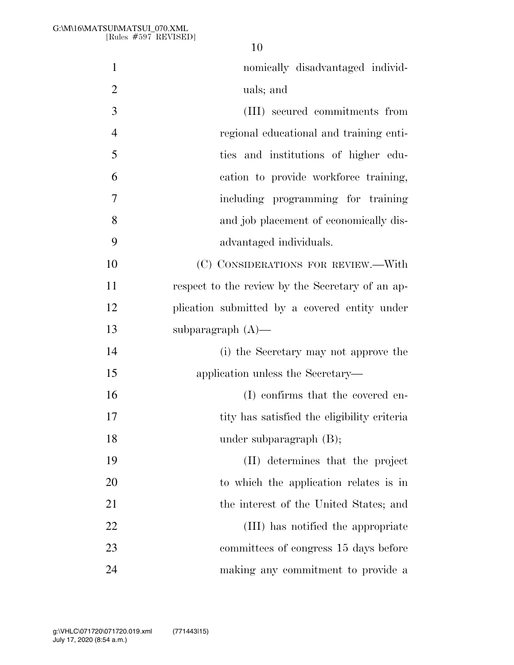| $\mathbf{1}$   | nomically disadvantaged individ-                 |
|----------------|--------------------------------------------------|
| $\overline{2}$ | uals; and                                        |
| $\overline{3}$ | (III) secured commitments from                   |
| $\overline{4}$ | regional educational and training enti-          |
| 5              | ties and institutions of higher edu-             |
| 6              | cation to provide workforce training,            |
| 7              | including programming for training               |
| 8              | and job placement of economically dis-           |
| 9              | advantaged individuals.                          |
| 10             | (C) CONSIDERATIONS FOR REVIEW.-With              |
| 11             | respect to the review by the Secretary of an ap- |
| 12             | plication submitted by a covered entity under    |
| 13             | subparagraph $(A)$ —                             |
| 14             | (i) the Secretary may not approve the            |
| 15             | application unless the Secretary—                |
| 16             | (I) confirms that the covered en-                |
| 17             | tity has satisfied the eligibility criteria      |
| 18             | under subparagraph $(B)$ ;                       |
| 19             | (II) determines that the project                 |
| 20             | to which the application relates is in           |
| 21             | the interest of the United States; and           |
| 22             | (III) has notified the appropriate               |
| 23             | committees of congress 15 days before            |
| 24             | making any commitment to provide a               |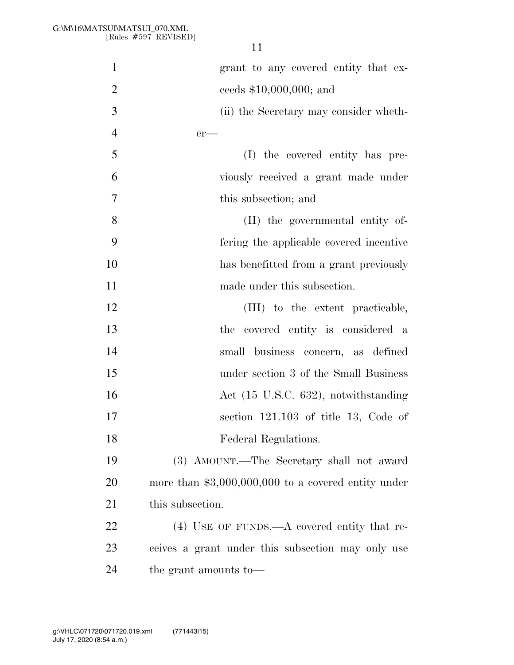| $\mathbf{1}$   | grant to any covered entity that ex-                 |
|----------------|------------------------------------------------------|
| $\mathbf{2}$   | ceeds $$10,000,000;$ and                             |
| 3              | (ii) the Secretary may consider wheth-               |
| $\overline{4}$ | $er$ —                                               |
| 5              | (I) the covered entity has pre-                      |
| 6              | viously received a grant made under                  |
| $\overline{7}$ | this subsection; and                                 |
| 8              | (II) the governmental entity of-                     |
| 9              | fering the applicable covered incentive              |
| 10             | has benefitted from a grant previously               |
| 11             | made under this subsection.                          |
| 12             | (III) to the extent practicable,                     |
| 13             | the covered entity is considered a                   |
| 14             | small business concern, as defined                   |
| 15             | under section 3 of the Small Business                |
| 16             | Act (15 U.S.C. 632), notwithstanding                 |
| 17             | section $121.103$ of title 13, Code of               |
| 18             | Federal Regulations.                                 |
| 19             | (3) AMOUNT.—The Secretary shall not award            |
| 20             | more than $$3,000,000,000$ to a covered entity under |
| 21             | this subsection.                                     |
| 22             | $(4)$ USE OF FUNDS.—A covered entity that re-        |
| 23             | ceives a grant under this subsection may only use    |
| 24             | the grant amounts to-                                |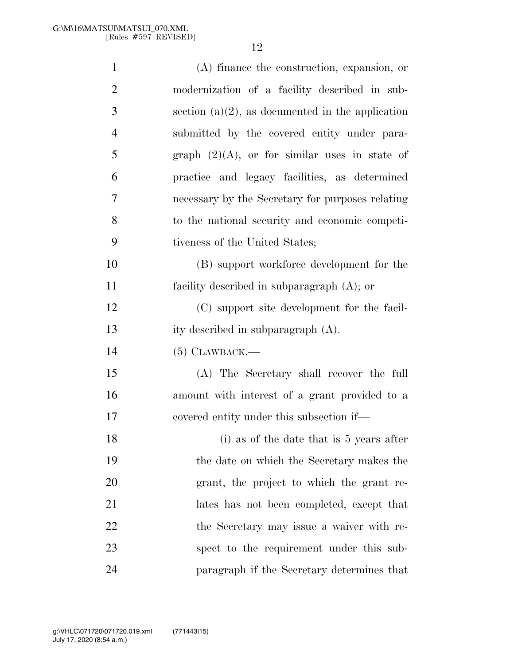| $\mathbf{1}$   | (A) finance the construction, expansion, or         |
|----------------|-----------------------------------------------------|
| $\overline{2}$ | modernization of a facility described in sub-       |
| 3              | section $(a)(2)$ , as documented in the application |
| $\overline{4}$ | submitted by the covered entity under para-         |
| 5              | graph $(2)(A)$ , or for similar uses in state of    |
| 6              | practice and legacy facilities, as determined       |
| $\overline{7}$ | necessary by the Secretary for purposes relating    |
| 8              | to the national security and economic competi-      |
| 9              | tiveness of the United States;                      |
| 10             | (B) support workforce development for the           |
| 11             | facility described in subparagraph $(A)$ ; or       |
| 12             | (C) support site development for the facil-         |
| 13             | ity described in subparagraph (A).                  |
| 14             | $(5)$ CLAWBACK.—                                    |
| 15             | (A) The Secretary shall recover the full            |
| 16             | amount with interest of a grant provided to a       |
| 17             | covered entity under this subsection if—            |
| 18             | $(i)$ as of the date that is 5 years after          |
| 19             | the date on which the Secretary makes the           |
| 20             | grant, the project to which the grant re-           |
| 21             | lates has not been completed, except that           |
| 22             | the Secretary may issue a waiver with re-           |
| 23             | spect to the requirement under this sub-            |
| 24             | paragraph if the Secretary determines that          |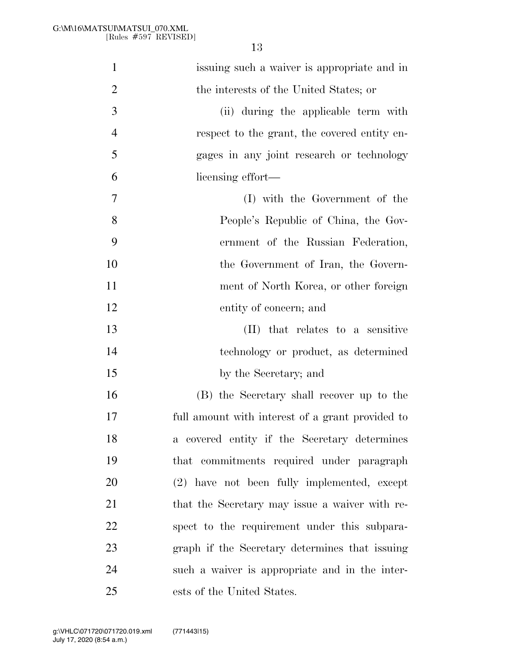| $\mathbf{1}$   | issuing such a waiver is appropriate and in      |
|----------------|--------------------------------------------------|
| $\overline{2}$ | the interests of the United States; or           |
| 3              | (ii) during the applicable term with             |
| $\overline{4}$ | respect to the grant, the covered entity en-     |
| 5              | gages in any joint research or technology        |
| 6              | licensing effort—                                |
| 7              | (I) with the Government of the                   |
| 8              | People's Republic of China, the Gov-             |
| 9              | ernment of the Russian Federation,               |
| 10             | the Government of Iran, the Govern-              |
| 11             | ment of North Korea, or other foreign            |
| 12             | entity of concern; and                           |
| 13             | (II) that relates to a sensitive                 |
| 14             | technology or product, as determined             |
| 15             | by the Secretary; and                            |
| 16             | (B) the Secretary shall recover up to the        |
| 17             | full amount with interest of a grant provided to |
| 18             | a covered entity if the Secretary determines     |
| 19             | that commitments required under paragraph        |
| 20             | (2) have not been fully implemented, except      |
| 21             | that the Secretary may issue a waiver with re-   |
| 22             | spect to the requirement under this subpara-     |
| 23             | graph if the Secretary determines that issuing   |
| 24             | such a waiver is appropriate and in the inter-   |
| 25             | ests of the United States.                       |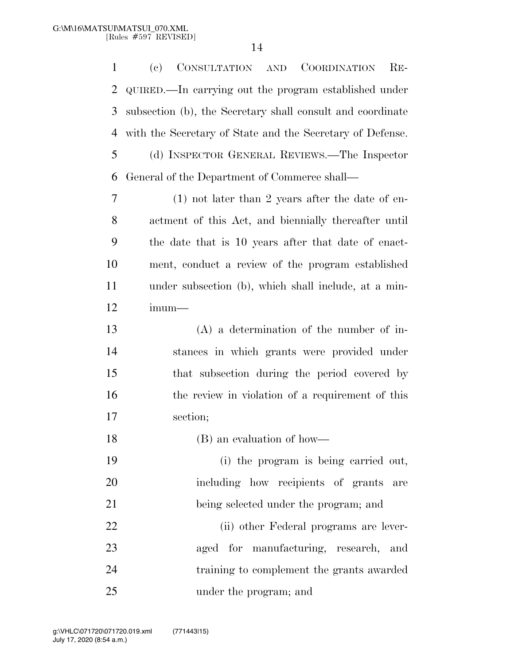(c) CONSULTATION AND COORDINATION RE- QUIRED.—In carrying out the program established under subsection (b), the Secretary shall consult and coordinate with the Secretary of State and the Secretary of Defense. (d) INSPECTOR GENERAL REVIEWS.—The Inspector General of the Department of Commerce shall— (1) not later than 2 years after the date of en- actment of this Act, and biennially thereafter until the date that is 10 years after that date of enact- ment, conduct a review of the program established under subsection (b), which shall include, at a min- imum— (A) a determination of the number of in- stances in which grants were provided under that subsection during the period covered by 16 the review in violation of a requirement of this section; (B) an evaluation of how— (i) the program is being carried out, including how recipients of grants are being selected under the program; and (ii) other Federal programs are lever- aged for manufacturing, research, and training to complement the grants awarded under the program; and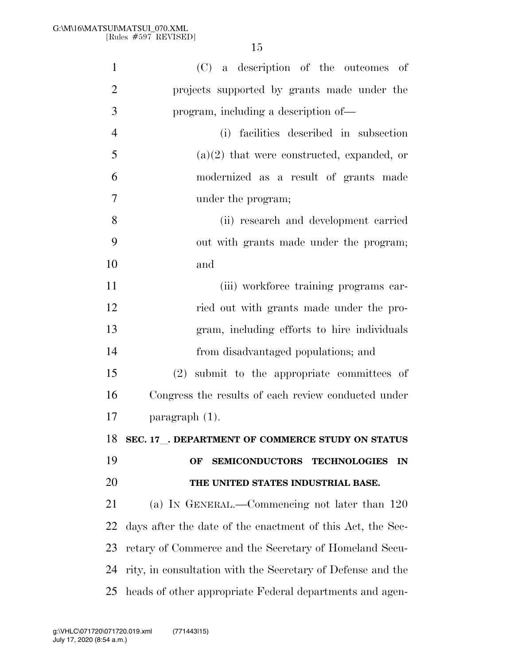| $\mathbf{1}$   | (C) a description of the outcomes of                        |
|----------------|-------------------------------------------------------------|
| $\overline{2}$ | projects supported by grants made under the                 |
| 3              | program, including a description of—                        |
| $\overline{4}$ | (i) facilities described in subsection                      |
| 5              | $(a)(2)$ that were constructed, expanded, or                |
| 6              | modernized as a result of grants made                       |
| 7              | under the program;                                          |
| 8              | (ii) research and development carried                       |
| 9              | out with grants made under the program;                     |
| 10             | and                                                         |
| 11             | (iii) workforce training programs car-                      |
| 12             | ried out with grants made under the pro-                    |
| 13             | gram, including efforts to hire individuals                 |
| 14             | from disadvantaged populations; and                         |
| 15             | submit to the appropriate committees of<br>(2)              |
| 16             | Congress the results of each review conducted under         |
| 17             | paragraph $(1)$ .                                           |
| 18             | SEC. 17 . DEPARTMENT OF COMMERCE STUDY ON STATUS            |
| 19             | <b>SEMICONDUCTORS</b><br><b>TECHNOLOGIES</b><br>OF<br>IN    |
| 20             | THE UNITED STATES INDUSTRIAL BASE.                          |
| 21             | (a) IN GENERAL.—Commencing not later than 120               |
| 22             | days after the date of the enactment of this Act, the Sec-  |
| 23             | retary of Commerce and the Secretary of Homeland Secu-      |
| 24             | rity, in consultation with the Secretary of Defense and the |
| 25             | heads of other appropriate Federal departments and agen-    |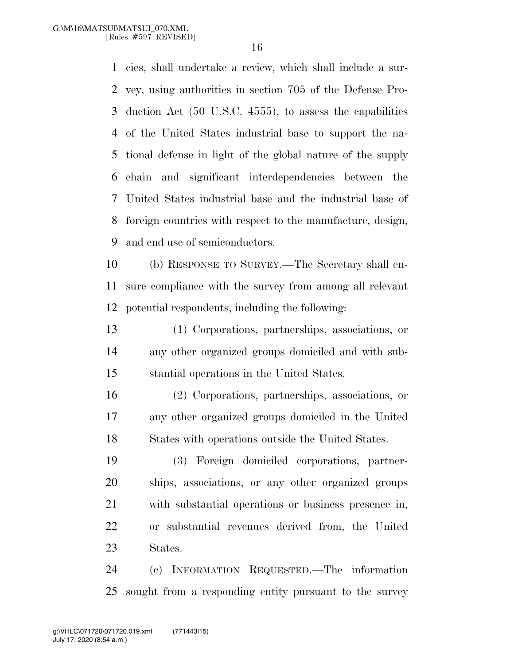cies, shall undertake a review, which shall include a sur- vey, using authorities in section 705 of the Defense Pro- duction Act (50 U.S.C. 4555), to assess the capabilities of the United States industrial base to support the na- tional defense in light of the global nature of the supply chain and significant interdependencies between the United States industrial base and the industrial base of foreign countries with respect to the manufacture, design, and end use of semiconductors.

 (b) RESPONSE TO SURVEY.—The Secretary shall en- sure compliance with the survey from among all relevant potential respondents, including the following:

 (1) Corporations, partnerships, associations, or any other organized groups domiciled and with sub-stantial operations in the United States.

 (2) Corporations, partnerships, associations, or any other organized groups domiciled in the United States with operations outside the United States.

 (3) Foreign domiciled corporations, partner- ships, associations, or any other organized groups with substantial operations or business presence in, or substantial revenues derived from, the United States.

 (c) INFORMATION REQUESTED.—The information sought from a responding entity pursuant to the survey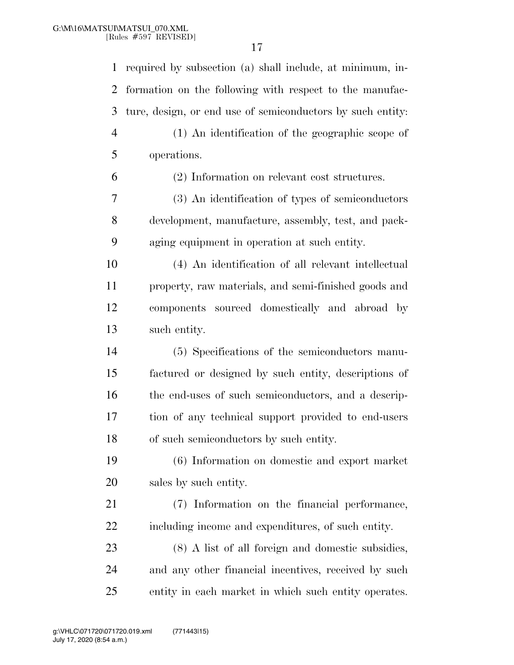| $\mathbf{1}$   | required by subsection (a) shall include, at minimum, in-  |
|----------------|------------------------------------------------------------|
| $\overline{2}$ | formation on the following with respect to the manufac-    |
| 3              | ture, design, or end use of semiconductors by such entity: |
| $\overline{4}$ | (1) An identification of the geographic scope of           |
| 5              | operations.                                                |
| 6              | (2) Information on relevant cost structures.               |
| 7              | (3) An identification of types of semiconductors           |
| 8              | development, manufacture, assembly, test, and pack-        |
| 9              | aging equipment in operation at such entity.               |
| 10             | (4) An identification of all relevant intellectual         |
| 11             | property, raw materials, and semi-finished goods and       |
| 12             | components sourced domestically and abroad by              |
| 13             | such entity.                                               |
| 14             | (5) Specifications of the semiconductors manu-             |
| 15             | factured or designed by such entity, descriptions of       |
| 16             | the end-uses of such semiconductors, and a descrip-        |
| 17             | tion of any technical support provided to end-users        |
| 18             | of such semiconductors by such entity.                     |
| 19             | (6) Information on domestic and export market              |
| 20             | sales by such entity.                                      |
| 21             | (7) Information on the financial performance,              |
| 22             | including income and expenditures, of such entity.         |
| 23             | (8) A list of all foreign and domestic subsidies,          |
| 24             | and any other financial incentives, received by such       |
| 25             | entity in each market in which such entity operates.       |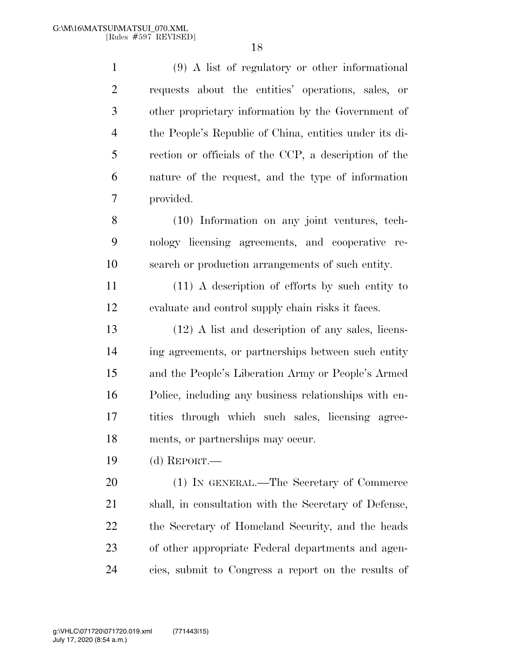(9) A list of regulatory or other informational requests about the entities' operations, sales, or other proprietary information by the Government of the People's Republic of China, entities under its di- rection or officials of the CCP, a description of the nature of the request, and the type of information provided.

 (10) Information on any joint ventures, tech- nology licensing agreements, and cooperative re-search or production arrangements of such entity.

 (11) A description of efforts by such entity to evaluate and control supply chain risks it faces.

 (12) A list and description of any sales, licens- ing agreements, or partnerships between such entity and the People's Liberation Army or People's Armed Police, including any business relationships with en- tities through which such sales, licensing agree-ments, or partnerships may occur.

(d) REPORT.—

 (1) IN GENERAL.—The Secretary of Commerce shall, in consultation with the Secretary of Defense, the Secretary of Homeland Security, and the heads of other appropriate Federal departments and agen-cies, submit to Congress a report on the results of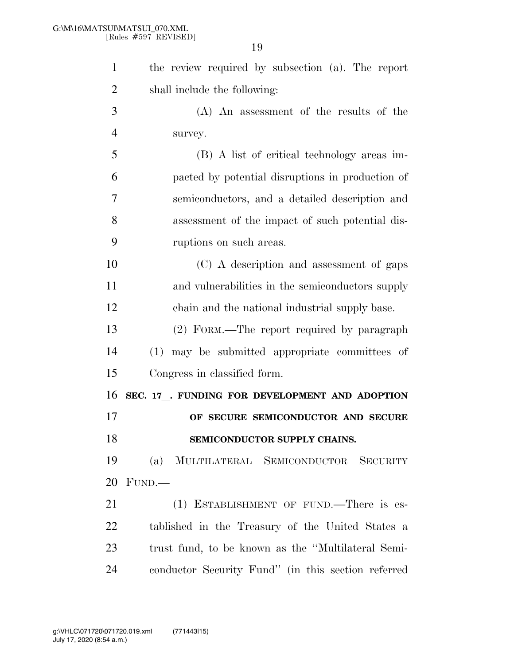| $\mathbf{1}$   | the review required by subsection (a). The report  |
|----------------|----------------------------------------------------|
| $\overline{2}$ | shall include the following:                       |
| 3              | (A) An assessment of the results of the            |
| 4              | survey.                                            |
| 5              | (B) A list of critical technology areas im-        |
| 6              | pacted by potential disruptions in production of   |
| 7              | semiconductors, and a detailed description and     |
| 8              | assessment of the impact of such potential dis-    |
| 9              | ruptions on such areas.                            |
| 10             | (C) A description and assessment of gaps           |
| 11             | and vulnerabilities in the semiconductors supply   |
| 12             | chain and the national industrial supply base.     |
| 13             | (2) FORM.—The report required by paragraph         |
| 14             | may be submitted appropriate committees of<br>(1)  |
| 15             | Congress in classified form.                       |
| 16             | SEC. 17 . FUNDING FOR DEVELOPMENT AND ADOPTION     |
| 17             | OF SECURE SEMICONDUCTOR AND SECURE                 |
| 18             | SEMICONDUCTOR SUPPLY CHAINS.                       |
| 19             | MULTILATERAL SEMICONDUCTOR SECURITY<br>(a)         |
| 20             | FUND.                                              |
| 21             | (1) ESTABLISHMENT OF FUND.—There is es-            |
| 22             | tablished in the Treasury of the United States a   |
| 23             | trust fund, to be known as the "Multilateral Semi- |
| 24             | conductor Security Fund" (in this section referred |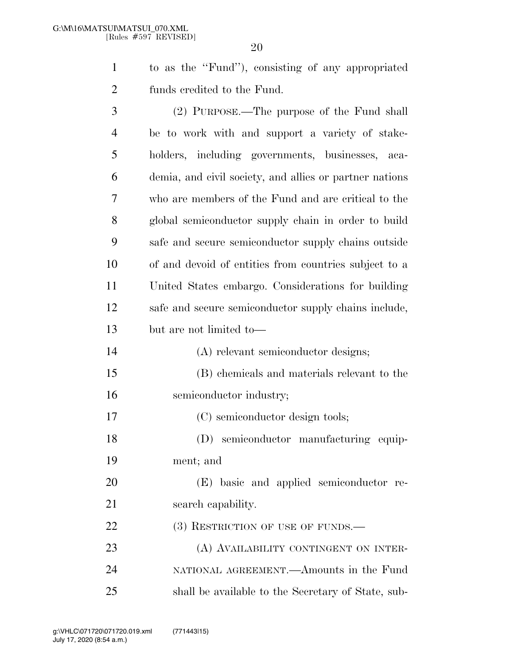to as the ''Fund''), consisting of any appropriated funds credited to the Fund.

| 3              | (2) PURPOSE.—The purpose of the Fund shall              |
|----------------|---------------------------------------------------------|
| $\overline{4}$ | be to work with and support a variety of stake-         |
| 5              | holders, including governments, businesses,<br>- aca-   |
| 6              | demia, and civil society, and allies or partner nations |
| 7              | who are members of the Fund and are critical to the     |
| 8              | global semiconductor supply chain in order to build     |
| 9              | safe and secure semiconductor supply chains outside     |
| 10             | of and devoid of entities from countries subject to a   |
| 11             | United States embargo. Considerations for building      |
| 12             | safe and secure semiconductor supply chains include,    |
| 13             | but are not limited to-                                 |
| 14             | (A) relevant semiconductor designs;                     |
| 15             | (B) chemicals and materials relevant to the             |
| 16             | semiconductor industry;                                 |
| 17             | (C) semiconductor design tools;                         |
| 18             | (D) semiconductor manufacturing equip-                  |
| 19             | ment; and                                               |
| 20             | (E) basic and applied semiconductor re-                 |
| 21             | search capability.                                      |
| 22             | (3) RESTRICTION OF USE OF FUNDS.—                       |
| 23             | (A) AVAILABILITY CONTINGENT ON INTER-                   |
| 24             | NATIONAL AGREEMENT.—Amounts in the Fund                 |
| 25             | shall be available to the Secretary of State, sub-      |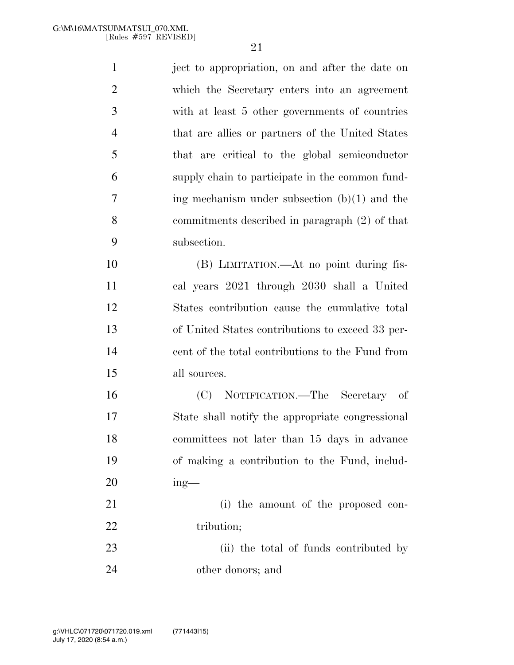ject to appropriation, on and after the date on which the Secretary enters into an agreement with at least 5 other governments of countries that are allies or partners of the United States that are critical to the global semiconductor supply chain to participate in the common fund- ing mechanism under subsection (b)(1) and the commitments described in paragraph (2) of that subsection.

 (B) LIMITATION.—At no point during fis- cal years 2021 through 2030 shall a United States contribution cause the cumulative total of United States contributions to exceed 33 per- cent of the total contributions to the Fund from all sources.

 (C) NOTIFICATION.—The Secretary of State shall notify the appropriate congressional committees not later than 15 days in advance of making a contribution to the Fund, includ-ing—

21 (i) the amount of the proposed con-22 tribution;

 (ii) the total of funds contributed by other donors; and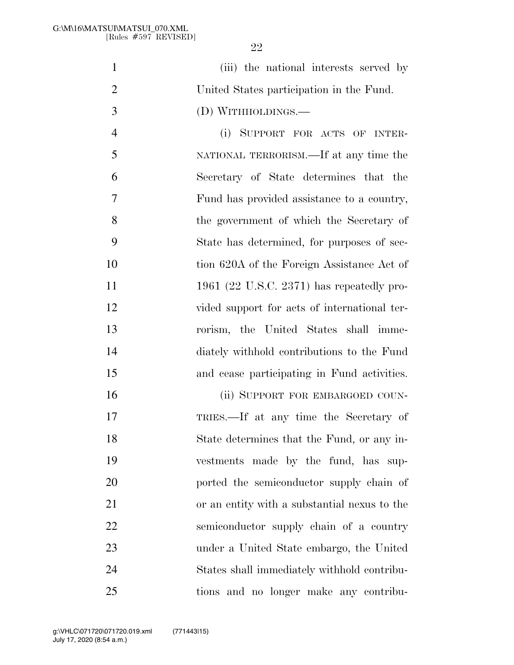| $\mathbf{1}$   | (iii) the national interests served by       |
|----------------|----------------------------------------------|
| $\overline{2}$ | United States participation in the Fund.     |
| 3              | (D) WITHHOLDINGS.—                           |
| $\overline{4}$ | (i) SUPPORT FOR ACTS OF INTER-               |
| 5              | NATIONAL TERRORISM.—If at any time the       |
| 6              | Secretary of State determines that the       |
| 7              | Fund has provided assistance to a country,   |
| 8              | the government of which the Secretary of     |
| 9              | State has determined, for purposes of sec-   |
| 10             | tion 620A of the Foreign Assistance Act of   |
| 11             | 1961 (22 U.S.C. 2371) has repeatedly pro-    |
| 12             | vided support for acts of international ter- |
| 13             | rorism, the United States shall imme-        |
| 14             | diately withhold contributions to the Fund   |
| 15             | and cease participating in Fund activities.  |
| 16             | (ii) SUPPORT FOR EMBARGOED COUN-             |
| 17             | TRIES.—If at any time the Secretary of       |
| 18             | State determines that the Fund, or any in-   |
| 19             | vestments made by the fund, has sup-         |
| 20             | ported the semiconductor supply chain of     |
| 21             | or an entity with a substantial nexus to the |
| 22             | semiconductor supply chain of a country      |
| 23             | under a United State embargo, the United     |
| 24             | States shall immediately withhold contribu-  |

tions and no longer make any contribu-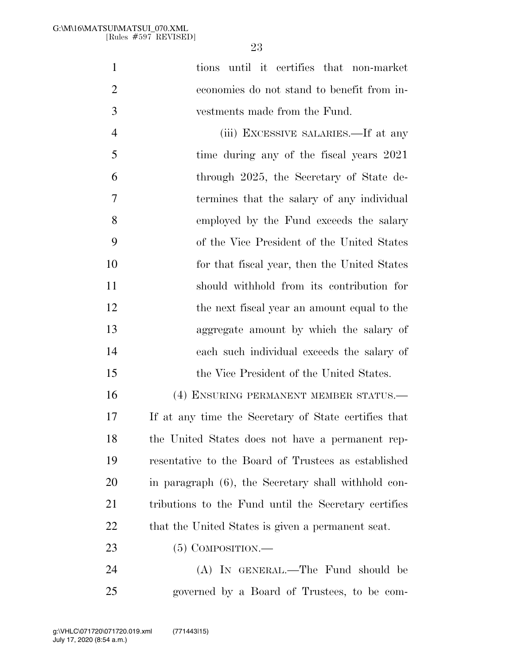|   | tions until it certifies that non-market   |
|---|--------------------------------------------|
|   | economies do not stand to benefit from in- |
| 3 | vestments made from the Fund.              |

 (iii) EXCESSIVE SALARIES.—If at any 5 time during any of the fiscal years 2021 through 2025, the Secretary of State de- termines that the salary of any individual employed by the Fund exceeds the salary of the Vice President of the United States for that fiscal year, then the United States should withhold from its contribution for 12 the next fiscal year an amount equal to the aggregate amount by which the salary of each such individual exceeds the salary of the Vice President of the United States.

 (4) ENSURING PERMANENT MEMBER STATUS.— If at any time the Secretary of State certifies that the United States does not have a permanent rep- resentative to the Board of Trustees as established in paragraph (6), the Secretary shall withhold con- tributions to the Fund until the Secretary certifies 22 that the United States is given a permanent seat.

23 (5) COMPOSITION.—

 (A) IN GENERAL.—The Fund should be governed by a Board of Trustees, to be com-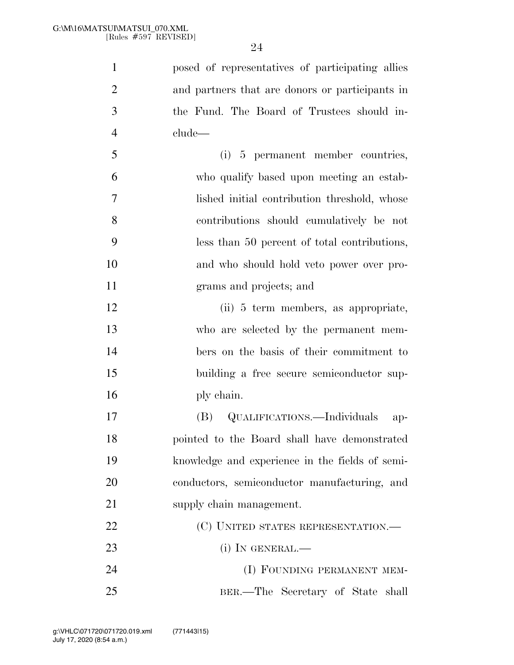| $\mathbf{1}$   | posed of representatives of participating allies |
|----------------|--------------------------------------------------|
| $\overline{2}$ | and partners that are donors or participants in  |
| 3              | the Fund. The Board of Trustees should in-       |
| $\overline{4}$ | clude—                                           |
| 5              | (i) 5 permanent member countries,                |
| 6              | who qualify based upon meeting an estab-         |
| $\overline{7}$ | lished initial contribution threshold, whose     |
| 8              | contributions should cumulatively be not         |
| 9              | less than 50 percent of total contributions,     |
| 10             | and who should hold veto power over pro-         |
| 11             | grams and projects; and                          |
| 12             | (ii) 5 term members, as appropriate,             |
| 13             | who are selected by the permanent mem-           |
| 14             | bers on the basis of their commitment to         |
| 15             | building a free secure semiconductor sup-        |
| 16             | ply chain.                                       |
| 17             | (B) QUALIFICATIONS.—Individuals<br>$ap-$         |
| 18             | pointed to the Board shall have demonstrated     |
| 19             | knowledge and experience in the fields of semi-  |
| 20             | conductors, semiconductor manufacturing, and     |
| 21             | supply chain management.                         |
| 22             | (C) UNITED STATES REPRESENTATION.—               |
| 23             | $(i)$ In GENERAL.—                               |
| 24             | (I) FOUNDING PERMANENT MEM-                      |
| 25             | BER.—The Secretary of State shall                |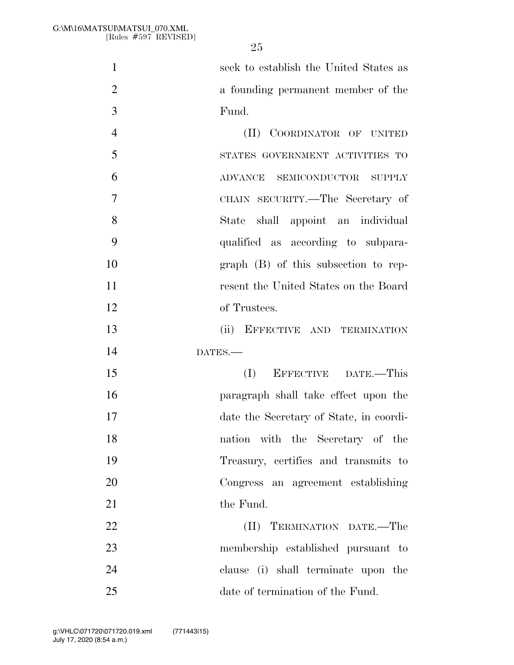seek to establish the United States as a founding permanent member of the Fund.

 (II) COORDINATOR OF UNITED STATES GOVERNMENT ACTIVITIES TO ADVANCE SEMICONDUCTOR SUPPLY CHAIN SECURITY.—The Secretary of State shall appoint an individual qualified as according to subpara- graph (B) of this subsection to rep- resent the United States on the Board of Trustees.

 (ii) EFFECTIVE AND TERMINATION DATES.—

 (I) EFFECTIVE DATE.—This paragraph shall take effect upon the date the Secretary of State, in coordi- nation with the Secretary of the Treasury, certifies and transmits to Congress an agreement establishing 21 the Fund.

 (II) TERMINATION DATE.—The membership established pursuant to clause (i) shall terminate upon the 25 date of termination of the Fund.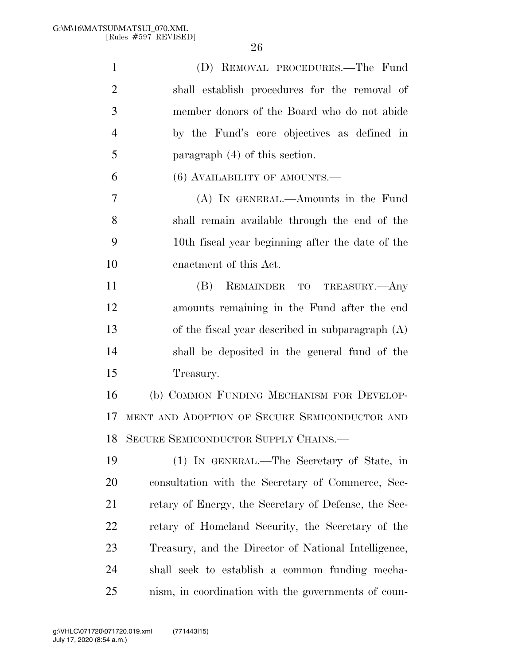| $\mathbf{1}$   | (D) REMOVAL PROCEDURES.—The Fund                     |
|----------------|------------------------------------------------------|
| $\overline{2}$ | shall establish procedures for the removal of        |
| 3              | member donors of the Board who do not abide          |
| $\overline{4}$ | by the Fund's core objectives as defined in          |
| 5              | paragraph $(4)$ of this section.                     |
| 6              | $(6)$ AVAILABILITY OF AMOUNTS.—                      |
| 7              | (A) IN GENERAL.—Amounts in the Fund                  |
| 8              | shall remain available through the end of the        |
| 9              | 10th fiscal year beginning after the date of the     |
| 10             | enactment of this Act.                               |
| 11             | (B)<br>REMAINDER TO TREASURY.—Any                    |
| 12             | amounts remaining in the Fund after the end          |
| 13             | of the fiscal year described in subparagraph (A)     |
| 14             | shall be deposited in the general fund of the        |
| 15             | Treasury.                                            |
| 16             | (b) COMMON FUNDING MECHANISM FOR DEVELOP-            |
| 17             | MENT AND ADOPTION OF SECURE SEMICONDUCTOR AND        |
| 18             | SECURE SEMICONDUCTOR SUPPLY CHAINS.                  |
| 19             | (1) IN GENERAL.—The Secretary of State, in           |
| 20             | consultation with the Secretary of Commerce, Sec-    |
| 21             | retary of Energy, the Secretary of Defense, the Sec- |
| 22             | retary of Homeland Security, the Secretary of the    |
| 23             | Treasury, and the Director of National Intelligence, |
| 24             | shall seek to establish a common funding mecha-      |
| 25             | nism, in coordination with the governments of coun-  |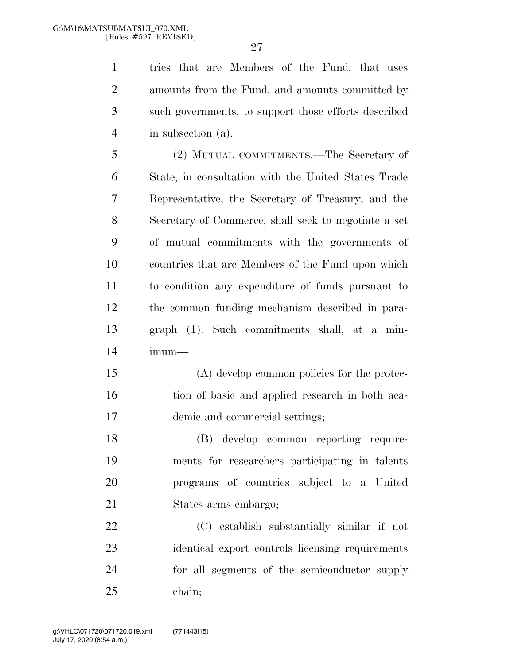tries that are Members of the Fund, that uses amounts from the Fund, and amounts committed by such governments, to support those efforts described in subsection (a).

 (2) MUTUAL COMMITMENTS.—The Secretary of State, in consultation with the United States Trade Representative, the Secretary of Treasury, and the Secretary of Commerce, shall seek to negotiate a set of mutual commitments with the governments of countries that are Members of the Fund upon which to condition any expenditure of funds pursuant to the common funding mechanism described in para- graph (1). Such commitments shall, at a min-imum—

 (A) develop common policies for the protec- tion of basic and applied research in both aca-demic and commercial settings;

 (B) develop common reporting require- ments for researchers participating in talents programs of countries subject to a United States arms embargo;

 (C) establish substantially similar if not identical export controls licensing requirements for all segments of the semiconductor supply chain;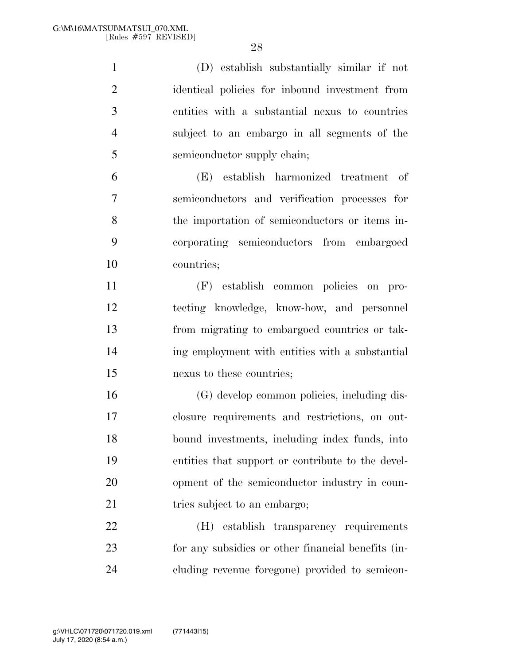(D) establish substantially similar if not identical policies for inbound investment from entities with a substantial nexus to countries subject to an embargo in all segments of the semiconductor supply chain; (E) establish harmonized treatment of semiconductors and verification processes for the importation of semiconductors or items in- corporating semiconductors from embargoed countries; (F) establish common policies on pro- tecting knowledge, know-how, and personnel from migrating to embargoed countries or tak- ing employment with entities with a substantial nexus to these countries; (G) develop common policies, including dis- closure requirements and restrictions, on out- bound investments, including index funds, into entities that support or contribute to the devel- opment of the semiconductor industry in coun-21 tries subject to an embargo;

 (H) establish transparency requirements for any subsidies or other financial benefits (in-cluding revenue foregone) provided to semicon-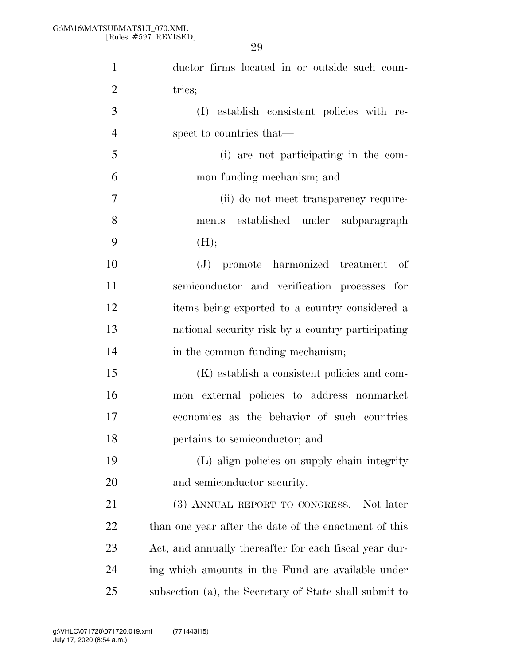| $\mathbf{1}$   | ductor firms located in or outside such coun-          |
|----------------|--------------------------------------------------------|
| $\overline{2}$ | tries;                                                 |
| 3              | (I) establish consistent policies with re-             |
| $\overline{4}$ | spect to countries that—                               |
| 5              | (i) are not participating in the com-                  |
| 6              | mon funding mechanism; and                             |
| $\overline{7}$ | (ii) do not meet transparency require-                 |
| 8              | ments established under subparagraph                   |
| 9              | (H);                                                   |
| 10             | (J) promote harmonized treatment<br>- of               |
| 11             | semiconductor and verification processes for           |
| 12             | items being exported to a country considered a         |
| 13             | national security risk by a country participating      |
| 14             | in the common funding mechanism;                       |
| 15             | (K) establish a consistent policies and com-           |
| 16             | mon external policies to address nonmarket             |
| 17             | economies as the behavior of such countries            |
| 18             | pertains to semiconductor; and                         |
| 19             | (L) align policies on supply chain integrity           |
| 20             | and semiconductor security.                            |
| 21             | (3) ANNUAL REPORT TO CONGRESS.—Not later               |
| 22             | than one year after the date of the enactment of this  |
| 23             | Act, and annually thereafter for each fiscal year dur- |
| 24             | ing which amounts in the Fund are available under      |
| 25             | subsection (a), the Secretary of State shall submit to |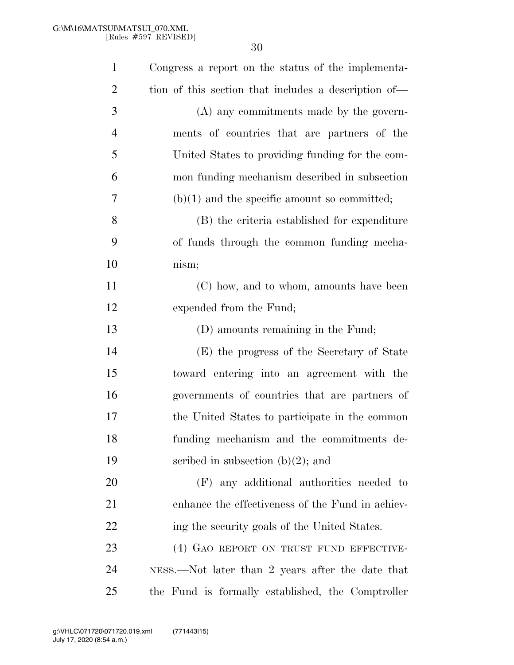| $\mathbf{1}$   | Congress a report on the status of the implementa-   |
|----------------|------------------------------------------------------|
| $\overline{2}$ | tion of this section that includes a description of— |
| 3              | (A) any commitments made by the govern-              |
| $\overline{4}$ | ments of countries that are partners of the          |
| 5              | United States to providing funding for the com-      |
| 6              | mon funding mechanism described in subsection        |
| 7              | $(b)(1)$ and the specific amount so committed;       |
| 8              | (B) the criteria established for expenditure         |
| 9              | of funds through the common funding mecha-           |
| 10             | nism;                                                |
| 11             | (C) how, and to whom, amounts have been              |
| 12             | expended from the Fund;                              |
| 13             | (D) amounts remaining in the Fund;                   |
| 14             | (E) the progress of the Secretary of State           |
| 15             | toward entering into an agreement with the           |
| 16             | governments of countries that are partners of        |
| 17             | the United States to participate in the common       |
| 18             | funding mechanism and the commitments de-            |
| 19             | scribed in subsection $(b)(2)$ ; and                 |
| 20             | (F) any additional authorities needed to             |
| 21             | enhance the effectiveness of the Fund in achiev-     |
| <u>22</u>      | ing the security goals of the United States.         |
| 23             | (4) GAO REPORT ON TRUST FUND EFFECTIVE-              |
| 24             | NESS.—Not later than 2 years after the date that     |
| 25             | the Fund is formally established, the Comptroller    |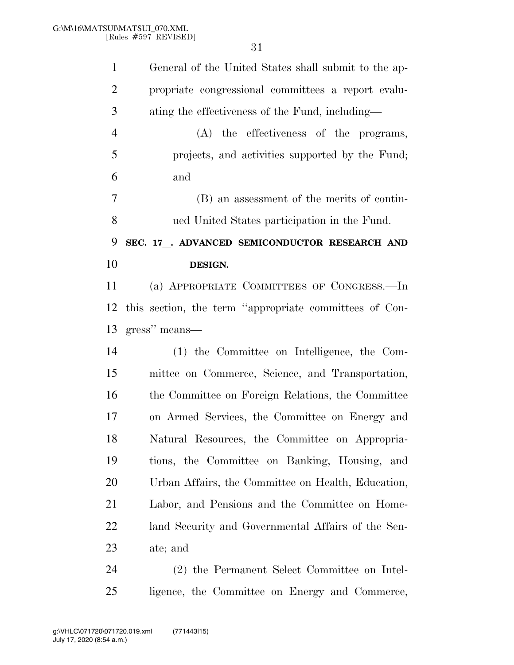| $\mathbf{1}$   | General of the United States shall submit to the ap-   |
|----------------|--------------------------------------------------------|
| $\overline{2}$ | propriate congressional committees a report evalu-     |
| 3              | ating the effectiveness of the Fund, including—        |
| $\overline{4}$ | $(A)$ the effectiveness of the programs,               |
| 5              | projects, and activities supported by the Fund;        |
| 6              | and                                                    |
| 7              | (B) an assessment of the merits of contin-             |
| 8              | ued United States participation in the Fund.           |
| 9              | SEC. 17 . ADVANCED SEMICONDUCTOR RESEARCH AND          |
| 10             | DESIGN.                                                |
| 11             | (a) APPROPRIATE COMMITTEES OF CONGRESS.—In             |
| 12             | this section, the term "appropriate committees of Con- |
|                |                                                        |
|                | gress" means—                                          |
| 13<br>14       | (1) the Committee on Intelligence, the Com-            |
| 15             | mittee on Commerce, Science, and Transportation,       |
|                | the Committee on Foreign Relations, the Committee      |
|                | on Armed Services, the Committee on Energy and         |
| 16<br>17<br>18 | Natural Resources, the Committee on Appropria-         |
|                | tions, the Committee on Banking, Housing, and          |
| 19<br>20       | Urban Affairs, the Committee on Health, Education,     |
| 21             | Labor, and Pensions and the Committee on Home-         |
|                | land Security and Governmental Affairs of the Sen-     |
| 22<br>23       | ate; and                                               |

ligence, the Committee on Energy and Commerce,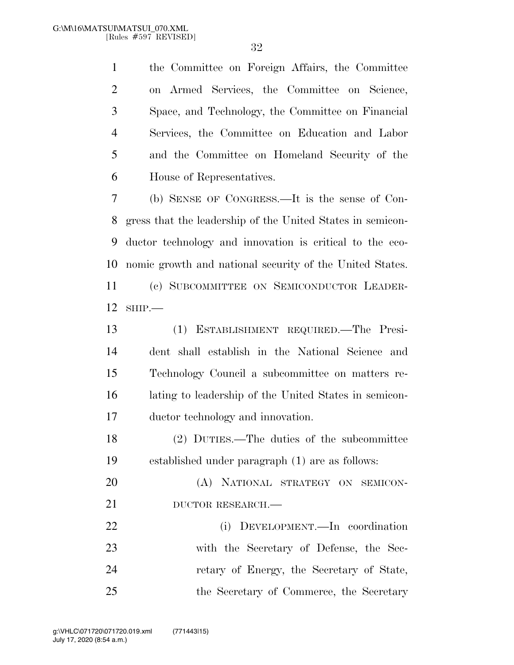the Committee on Foreign Affairs, the Committee on Armed Services, the Committee on Science, Space, and Technology, the Committee on Financial Services, the Committee on Education and Labor and the Committee on Homeland Security of the House of Representatives.

 (b) SENSE OF CONGRESS.—It is the sense of Con- gress that the leadership of the United States in semicon- ductor technology and innovation is critical to the eco- nomic growth and national security of the United States. (c) SUBCOMMITTEE ON SEMICONDUCTOR LEADER-SHIP.—

 (1) ESTABLISHMENT REQUIRED.—The Presi- dent shall establish in the National Science and Technology Council a subcommittee on matters re- lating to leadership of the United States in semicon-ductor technology and innovation.

 (2) DUTIES.—The duties of the subcommittee established under paragraph (1) are as follows:

 (A) NATIONAL STRATEGY ON SEMICON-21 DUCTOR RESEARCH.— (i) DEVELOPMENT.—In coordination with the Secretary of Defense, the Sec-retary of Energy, the Secretary of State,

the Secretary of Commerce, the Secretary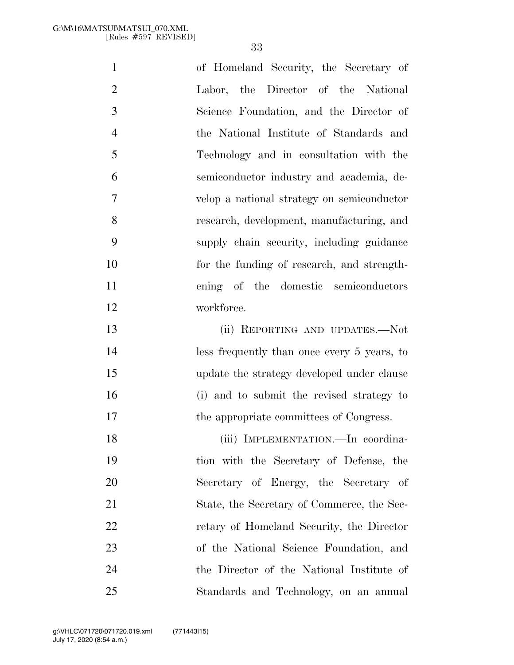| $\mathbf{1}$   | of Homeland Security, the Secretary of      |
|----------------|---------------------------------------------|
| $\overline{2}$ | Labor, the Director of the National         |
| 3              | Science Foundation, and the Director of     |
| $\overline{4}$ | the National Institute of Standards and     |
| 5              | Technology and in consultation with the     |
| 6              | semiconductor industry and academia, de-    |
| $\overline{7}$ | velop a national strategy on semiconductor  |
| 8              | research, development, manufacturing, and   |
| 9              | supply chain security, including guidance   |
| 10             | for the funding of research, and strength-  |
| 11             | ening of the domestic semiconductors        |
| 12             | workforce.                                  |
| 13             | (ii) REPORTING AND UPDATES.-Not             |
| 14             | less frequently than once every 5 years, to |
| 15             | update the strategy developed under clause  |
| 16             | (i) and to submit the revised strategy to   |
| 17             | the appropriate committees of Congress.     |
| 18             | (iii) IMPLEMENTATION.—In coordina-          |
| 19             | tion with the Secretary of Defense, the     |
| 20             | Secretary of Energy, the Secretary of       |
| 21             | State, the Secretary of Commerce, the Sec-  |
| 22             | retary of Homeland Security, the Director   |
| 23             | of the National Science Foundation, and     |
| 24             | the Director of the National Institute of   |
| 25             | Standards and Technology, on an annual      |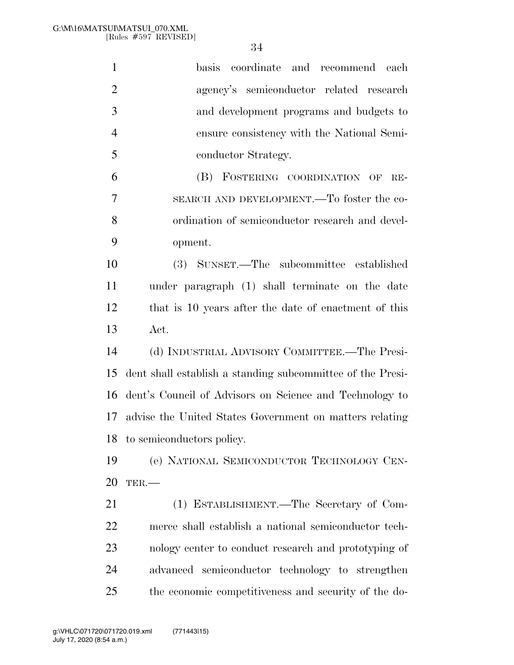| $\mathbf{1}$   | basis coordinate and recommend each                        |
|----------------|------------------------------------------------------------|
| $\overline{2}$ | agency's semiconductor related research                    |
| 3              | and development programs and budgets to                    |
| $\overline{4}$ | ensure consistency with the National Semi-                 |
| 5              | conductor Strategy.                                        |
| 6              | FOSTERING COORDINATION OF<br>(B)<br>$RE-$                  |
| 7              | SEARCH AND DEVELOPMENT.—To foster the co-                  |
| 8              | ordination of semiconductor research and devel-            |
| 9              | opment.                                                    |
| 10             | (3) SUNSET.—The subcommittee established                   |
| 11             | under paragraph (1) shall terminate on the date            |
| 12             | that is 10 years after the date of enactment of this       |
| 13             | Act.                                                       |
| 14             | (d) INDUSTRIAL ADVISORY COMMITTEE.—The Presi-              |
| 15             | dent shall establish a standing subcommittee of the Presi- |
| 16             | dent's Council of Advisors on Science and Technology to    |
| 17             | advise the United States Government on matters relating    |
| 18             | to semiconductors policy.                                  |
| 19             | (e) NATIONAL SEMICONDUCTOR TECHNOLOGY CEN-                 |
| 20             | TER.                                                       |
| 21             | (1) ESTABLISHMENT.—The Secretary of Com-                   |
| 22             | merce shall establish a national semiconductor tech-       |
| 23             | nology center to conduct research and prototyping of       |
| 24             | advanced semiconductor technology to strengthen            |
| 25             | the economic competitiveness and security of the do-       |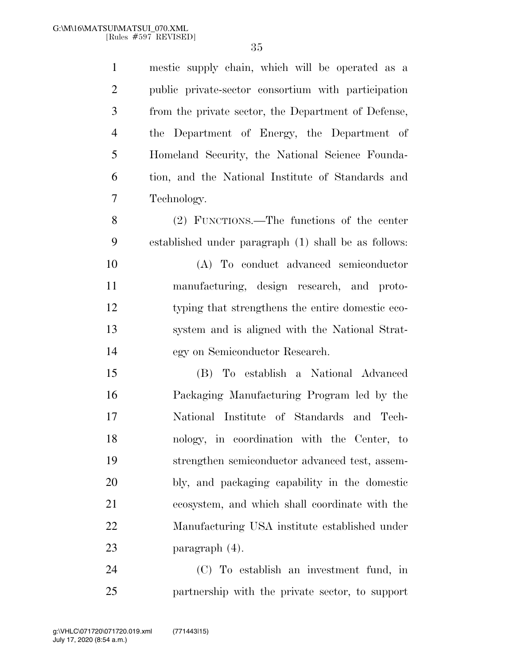mestic supply chain, which will be operated as a public private-sector consortium with participation from the private sector, the Department of Defense, the Department of Energy, the Department of Homeland Security, the National Science Founda- tion, and the National Institute of Standards and Technology. (2) FUNCTIONS.—The functions of the center established under paragraph (1) shall be as follows: (A) To conduct advanced semiconductor manufacturing, design research, and proto- typing that strengthens the entire domestic eco- system and is aligned with the National Strat- egy on Semiconductor Research. (B) To establish a National Advanced Packaging Manufacturing Program led by the

 National Institute of Standards and Tech- nology, in coordination with the Center, to strengthen semiconductor advanced test, assem- bly, and packaging capability in the domestic ecosystem, and which shall coordinate with the Manufacturing USA institute established under paragraph (4).

 (C) To establish an investment fund, in partnership with the private sector, to support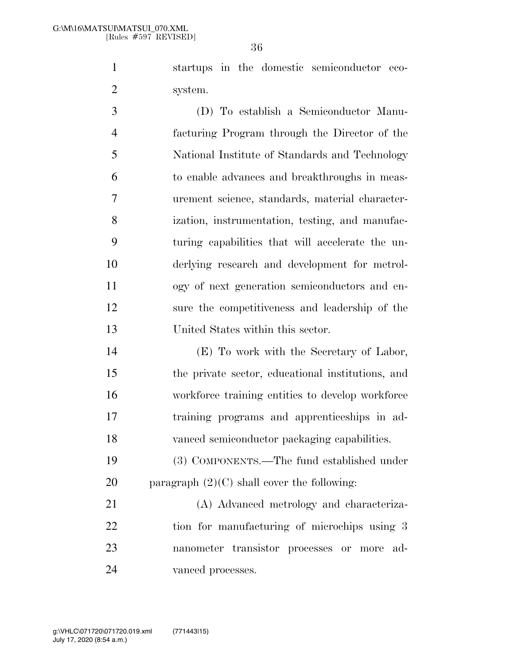startups in the domestic semiconductor eco-system.

 (D) To establish a Semiconductor Manu- facturing Program through the Director of the National Institute of Standards and Technology to enable advances and breakthroughs in meas- urement science, standards, material character- ization, instrumentation, testing, and manufac- turing capabilities that will accelerate the un- derlying research and development for metrol- ogy of next generation semiconductors and en- sure the competitiveness and leadership of the United States within this sector.

 (E) To work with the Secretary of Labor, the private sector, educational institutions, and workforce training entities to develop workforce training programs and apprenticeships in ad-vanced semiconductor packaging capabilities.

 (3) COMPONENTS.—The fund established under 20 paragraph  $(2)(C)$  shall cover the following:

 (A) Advanced metrology and characteriza-22 tion for manufacturing of microchips using 3 nanometer transistor processes or more ad-vanced processes.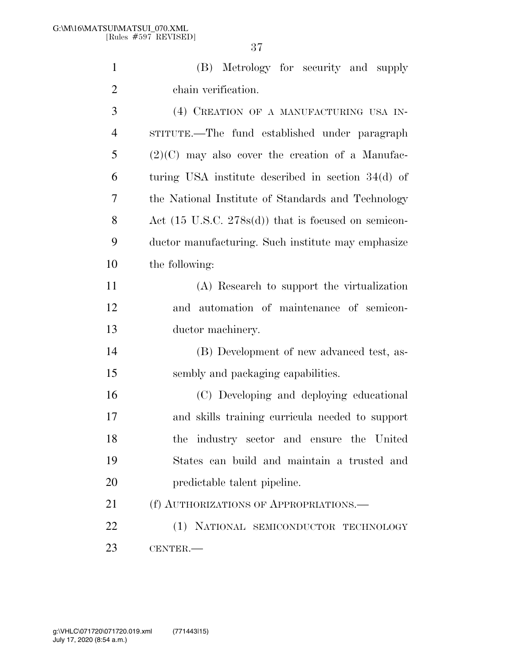(B) Metrology for security and supply chain verification.

 (4) CREATION OF A MANUFACTURING USA IN- STITUTE.—The fund established under paragraph (2)(C) may also cover the creation of a Manufac- turing USA institute described in section 34(d) of the National Institute of Standards and Technology Act (15 U.S.C. 278s(d)) that is focused on semicon- ductor manufacturing. Such institute may emphasize the following: (A) Research to support the virtualization and automation of maintenance of semicon- ductor machinery. (B) Development of new advanced test, as- sembly and packaging capabilities. (C) Developing and deploying educational and skills training curricula needed to support the industry sector and ensure the United States can build and maintain a trusted and predictable talent pipeline. 21 (f) AUTHORIZATIONS OF APPROPRIATIONS.— (1) NATIONAL SEMICONDUCTOR TECHNOLOGY CENTER.—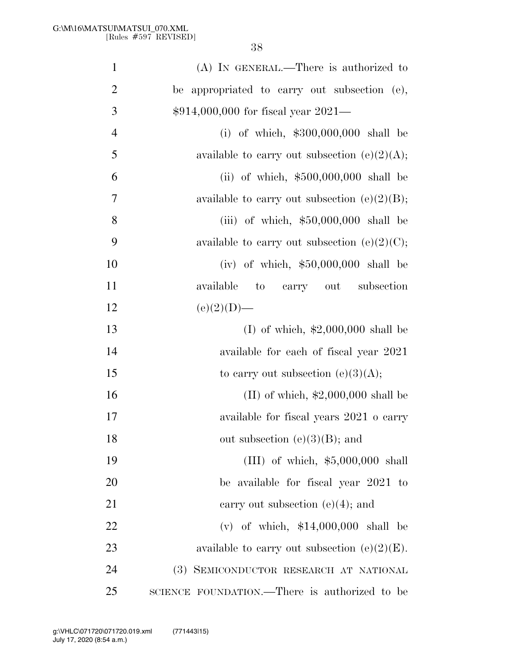| $\mathbf{1}$   | (A) IN GENERAL.—There is authorized to           |
|----------------|--------------------------------------------------|
| $\overline{2}$ | be appropriated to carry out subsection (e),     |
| 3              | \$914,000,000 for fiscal year 2021-              |
| $\overline{4}$ | (i) of which, $$300,000,000$ shall be            |
| 5              | available to carry out subsection (e)(2)(A);     |
| 6              | (ii) of which, $$500,000,000$ shall be           |
| $\overline{7}$ | available to carry out subsection (e) $(2)(B)$ ; |
| 8              | (iii) of which, $$50,000,000$ shall be           |
| 9              | available to carry out subsection (e) $(2)(C)$ ; |
| 10             | (iv) of which, $$50,000,000$ shall be            |
| 11             | available<br>to carry out subsection             |
| 12             | $(e)(2)(D)$ —                                    |
| 13             | (I) of which, $$2,000,000$ shall be              |
| 14             | available for each of fiscal year 2021           |
| 15             | to carry out subsection $(e)(3)(A);$             |
| 16             | $(II)$ of which, \$2,000,000 shall be            |
| 17             | available for fiscal years 2021 o carry          |
| 18             | out subsection $(e)(3)(B)$ ; and                 |
| 19             | (III) of which, $$5,000,000$ shall               |
| 20             | be available for fiscal year 2021 to             |
| 21             | carry out subsection $(e)(4)$ ; and              |
| 22             | (v) of which, $$14,000,000$ shall be             |
| 23             | available to carry out subsection $(e)(2)(E)$ .  |
| 24             | (3) SEMICONDUCTOR RESEARCH AT NATIONAL           |
| 25             | SCIENCE FOUNDATION.—There is authorized to be    |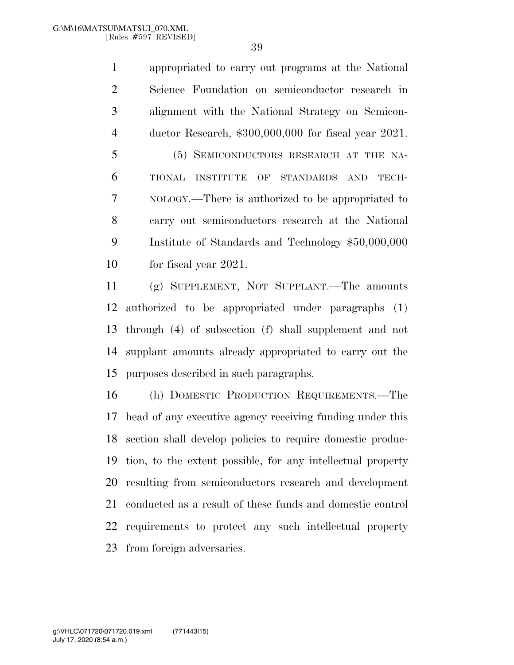appropriated to carry out programs at the National Science Foundation on semiconductor research in alignment with the National Strategy on Semicon- ductor Research, \$300,000,000 for fiscal year 2021. (5) SEMICONDUCTORS RESEARCH AT THE NA- TIONAL INSTITUTE OF STANDARDS AND TECH- NOLOGY.—There is authorized to be appropriated to carry out semiconductors research at the National Institute of Standards and Technology \$50,000,000 for fiscal year 2021.

 (g) SUPPLEMENT, NOT SUPPLANT.—The amounts authorized to be appropriated under paragraphs (1) through (4) of subsection (f) shall supplement and not supplant amounts already appropriated to carry out the purposes described in such paragraphs.

 (h) DOMESTIC PRODUCTION REQUIREMENTS.—The head of any executive agency receiving funding under this section shall develop policies to require domestic produc- tion, to the extent possible, for any intellectual property resulting from semiconductors research and development conducted as a result of these funds and domestic control requirements to protect any such intellectual property from foreign adversaries.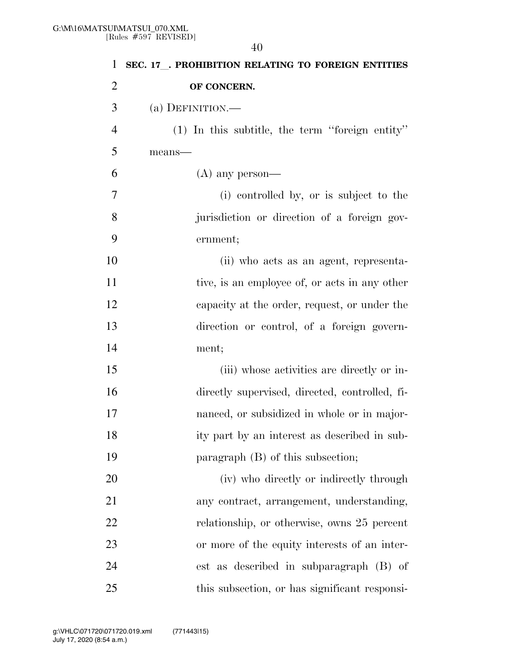**SEC. 17**l**. PROHIBITION RELATING TO FOREIGN ENTITIES OF CONCERN.**  (a) DEFINITION.— (1) In this subtitle, the term ''foreign entity'' means—  $6 \qquad (A)$  any person— (i) controlled by, or is subject to the jurisdiction or direction of a foreign gov- ernment; (ii) who acts as an agent, representa-11 tive, is an employee of, or acts in any other capacity at the order, request, or under the direction or control, of a foreign govern- ment; (iii) whose activities are directly or in- directly supervised, directed, controlled, fi- nanced, or subsidized in whole or in major- ity part by an interest as described in sub- paragraph (B) of this subsection; (iv) who directly or indirectly through any contract, arrangement, understanding, relationship, or otherwise, owns 25 percent or more of the equity interests of an inter- est as described in subparagraph (B) of 25 this subsection, or has significant responsi-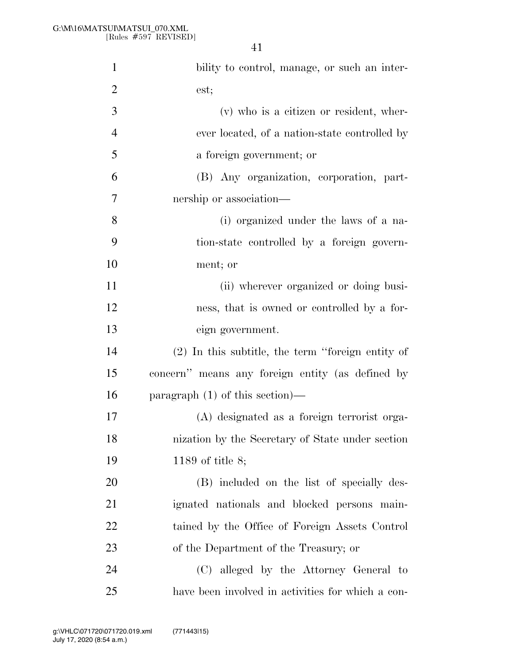| $\mathbf{1}$   | bility to control, manage, or such an inter-        |
|----------------|-----------------------------------------------------|
| $\overline{2}$ | est;                                                |
| 3              | (v) who is a citizen or resident, wher-             |
| $\overline{4}$ | ever located, of a nation-state controlled by       |
| 5              | a foreign government; or                            |
| 6              | (B) Any organization, corporation, part-            |
| 7              | nership or association—                             |
| 8              | (i) organized under the laws of a na-               |
| 9              | tion-state controlled by a foreign govern-          |
| 10             | ment; or                                            |
| 11             | (ii) wherever organized or doing busi-              |
| 12             | ness, that is owned or controlled by a for-         |
| 13             | eign government.                                    |
| 14             | $(2)$ In this subtitle, the term "foreign entity of |
| 15             | concern" means any foreign entity (as defined by    |
| 16             | paragraph $(1)$ of this section)—                   |
| 17             | (A) designated as a foreign terrorist orga-         |
| 18             | nization by the Secretary of State under section    |
| 19             | 1189 of title $8$ ;                                 |
| 20             | (B) included on the list of specially des-          |
| 21             | ignated nationals and blocked persons main-         |
| 22             | tained by the Office of Foreign Assets Control      |
| 23             | of the Department of the Treasury; or               |
| 24             | (C) alleged by the Attorney General to              |
| 25             | have been involved in activities for which a con-   |